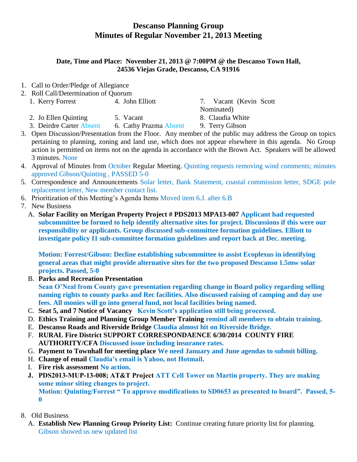## **Descanso Planning Group Minutes of Regular November 21, 2013 Meeting**

## **Date, Time and Place: November 21, 2013 @ 7:00PM @ the Descanso Town Hall, 24536 Viejas Grade, Descanso, CA 91916**

- 1. Call to Order/Pledge of Allegiance
- 2. Roll Call/Determination of Quorum
	- 1. Kerry Forrest 4. John Elliott 7. Vacant (Kevin Scott
		- 2. Jo Ellen Quinting 5. Vacant 8. Claudia White

Nominated)

- 3. Deirdre Carter Absent 6. Cathy Prazma Absent 9. Terry Gibson
- 3. Open Discussion/Presentation from the Floor. Any member of the public may address the Group on topics pertaining to planning, zoning and land use, which does not appear elsewhere in this agenda. No Group action is permitted on items not on the agenda in accordance with the Brown Act. Speakers will be allowed 3 minutes. None
- 4. Approval of Minutes from October Regular Meeting. Quinting requests removing wind comments; minutes approved Gibson/Quinting , PASSED 5-0
- 5. Correspondence and Announcements Solar letter, Bank Statement, coastal commission letter, SDGE pole replacement letter, New member contact list.
- 6. Prioritization of this Meeting's Agenda Items Moved item 6.J. after 6.B
- 7. New Business
	- A. **Solar Facility on Merigan Property Project # PDS2013 MPA13-007 Applicant had requested subcommittee be formed to help identify alternative sites for project. Discussions if this were our responsibility or applicants. Group discussed sub-committee formation guidelines. Elliott to investigate policy I1 sub-committee formation guidelines and report back at Dec. meeting.**

**Motion: Forrest/Gibson: Decline establishing subcommittee to assist Ecoplexus in identifying general areas that might provide alternative sites for the two proposed Descanso 1.5mw solar projects. Passed, 5-0**

B. **Parks and Recreation Presentation**

**Sean O'Neal from County gave presentation regarding change in Board policy regarding selling naming rights to county parks and Rec facilities. Also discussed raising of camping and day use fees. All monies will go into general fund, not local facilities being named.**

- C. **Seat 5, and 7 Notice of Vacancy Kevin Scott's application still being processed.**
- D. **Ethics Training and Planning Group Member Training remind all members to obtain training.**
- E. **Descanso Roads and Riverside Bridge Claudia almost hit on Riverside Bridge.**
- F. **RURAL Fire District SUPPORT CORRESPONDAENCE 6/30/2014 COUNTY FIRE AUTHORITY/CFA Discussed issue including insurance rates.**
- G. **Payment to Townhall for meeting place We need January and June agendas to submit billing.**
- H. **Change of email Claudia's email is Yahoo, not Hotmail.**
- I. **Fire risk assessment No action.**
- **J. PDS2013-MUP-13-008; AT&T Project ATT Cell Tower on Martin property. They are making some minor siting changes to project.**

**Motion: Quinting/Forrest " To approve modifications to SD0653 as presented to board". Passed, 5- 0** 

- 8. Old Business
	- A. **Establish New Planning Group Priority List:** Continue creating future priority list for planning. Gibson showed us new updated list